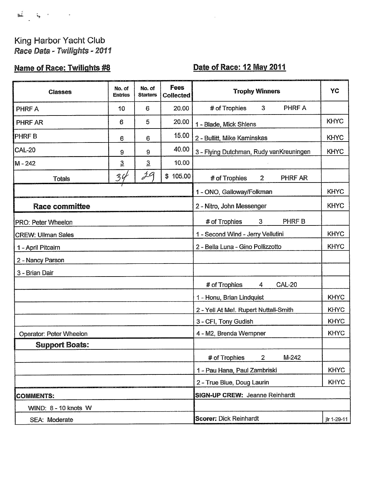## King Harbor Yacht Club Race Data - Twilights - 2011

## **Name of Race: Twilights #8**

## Date of Race: 12 May 2011

 $\mu$ 

| <b>Classes</b>            | No. of<br><b>Entries</b>              | No. of<br><b>Starters</b> | Fees<br><b>Collected</b> | <b>Trophy Winners</b>                            | YC          |
|---------------------------|---------------------------------------|---------------------------|--------------------------|--------------------------------------------------|-------------|
| PHRF A                    | 10                                    | 6                         | 20.00                    | PHRF A<br># of Trophies<br>3                     |             |
| PHRF AR                   | 6                                     | 5                         | 20.00                    | 1 - Blade, Mick Shlens                           | <b>KHYC</b> |
| <b>PHRFB</b>              | 6                                     | 6                         | 15.00                    | 2 - Bullitt, Mike Kaminskas                      | <b>KHYC</b> |
| <b>CAL-20</b>             | 9                                     | 9                         | 40.00                    | 3 - Flying Dutchman, Rudy vanKreuningen          | <b>KHYC</b> |
| M - 242                   | $\overline{3}$                        | $\overline{3}$            | 10.00                    |                                                  |             |
| <b>Totals</b>             | 34                                    | 29                        | \$105.00                 | # of Trophies<br>$2^{\circ}$<br>PHRF AR          |             |
|                           |                                       |                           |                          | 1 - ONO, Galloway/Folkman                        | <b>KHYC</b> |
| <b>Race committee</b>     |                                       |                           |                          | 2 - Nitro, John Messenger                        | <b>KHYC</b> |
| PRO: Peter Wheelon        |                                       |                           |                          | PHRF B<br># of Trophies<br>3                     |             |
| <b>CREW: Ullman Sales</b> |                                       |                           |                          | 1 - Second Wind - Jerry Vellutini                | <b>KHYC</b> |
| 1 - April Pitcairn        |                                       |                           |                          | 2 - Bella Luna - Gino Pollizzotto                | <b>KHYC</b> |
| 2 - Nancy Parson          |                                       |                           |                          |                                                  |             |
| 3 - Brian Dair            |                                       |                           |                          |                                                  |             |
|                           |                                       |                           |                          | # of Trophies<br><b>CAL-20</b><br>$\overline{4}$ |             |
|                           |                                       |                           |                          | 1 - Honu, Brian Lindquist                        | <b>KHYC</b> |
|                           |                                       |                           |                          | 2 - Yell At Me!. Rupert Nuttall-Smith            | <b>KHYC</b> |
|                           |                                       |                           |                          | 3 - CFI, Tony Gudish                             | <b>KHYC</b> |
| Operator: Peter Wheelon   |                                       |                           |                          | 4 - M2, Brenda Wempner                           | <b>KHYC</b> |
| <b>Support Boats:</b>     |                                       |                           |                          |                                                  |             |
|                           |                                       |                           |                          | # of Trophies<br>$M-242$<br>2                    |             |
|                           |                                       |                           |                          | 1 - Pau Hana, Paul Zambriski                     | <b>KHYC</b> |
|                           |                                       |                           |                          | 2 - True Blue, Doug Laurin                       | <b>KHYC</b> |
| <b>COMMENTS:</b>          | <b>SIGN-UP CREW: Jeanne Reinhardt</b> |                           |                          |                                                  |             |
| WIND: 8 - 10 knots W      |                                       |                           |                          |                                                  |             |
| SEA: Moderate             |                                       |                           |                          | <b>Scorer: Dick Reinhardt</b>                    | jlr 1-29-11 |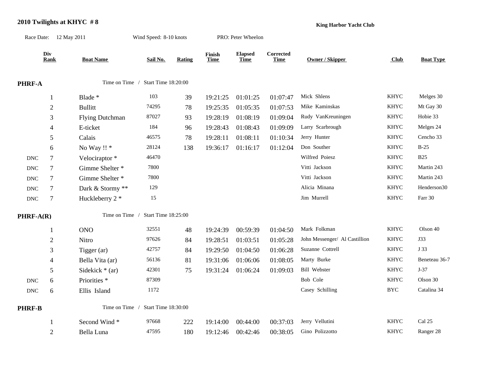## **2010 Twilights at KHYC # 8**

**King Harbor Yacht Club**

| Div<br><b>Rank</b> | <b>Boat Name</b>        | Sail No.               | <b>Rating</b>                  | Finish<br><u>Time</u>                                                                                      | <b>Elapsed</b><br><b>Time</b> | $\label{1} \textbf{Corrected}$<br><b>Time</b> | <b>Owner / Skipper</b>        | Club              | <b>Boat Type</b> |
|--------------------|-------------------------|------------------------|--------------------------------|------------------------------------------------------------------------------------------------------------|-------------------------------|-----------------------------------------------|-------------------------------|-------------------|------------------|
|                    |                         |                        |                                |                                                                                                            |                               |                                               |                               |                   |                  |
| $\mathbf{1}$       | Blade *                 | 103                    | 39                             | 19:21:25                                                                                                   | 01:01:25                      | 01:07:47                                      | Mick Shlens                   | KHYC              | Melges 30        |
| $\mathfrak{2}$     | <b>Bullitt</b>          | 74295                  | $78\,$                         | 19:25:35                                                                                                   | 01:05:35                      | 01:07:53                                      | Mike Kaminskas                | <b>KHYC</b>       | Mt Gay 30        |
| 3                  | <b>Flying Dutchman</b>  | 87027                  | 93                             | 19:28:19                                                                                                   | 01:08:19                      | 01:09:04                                      | Rudy VanKreuningen            | <b>KHYC</b>       | Hobie 33         |
| 4                  | E-ticket                | 184                    | 96                             | 19:28:43                                                                                                   | 01:08:43                      | 01:09:09                                      | Larry Scarbrough              | <b>KHYC</b>       | Melges 24        |
| 5                  | Calais                  | 46575                  | 78                             | 19:28:11                                                                                                   | 01:08:11                      | 01:10:34                                      | Jerry Hunter                  | <b>KHYC</b>       | Cencho 33        |
| 6                  | No Way !! *             | 28124                  | 138                            | 19:36:17                                                                                                   | 01:16:17                      | 01:12:04                                      | Don Souther                   | <b>KHYC</b>       | $B-25$           |
| $\tau$             | Velociraptor*           | 46470                  |                                |                                                                                                            |                               |                                               | Wilfred Poiesz                | <b>KHYC</b>       | <b>B25</b>       |
| $\tau$             | Gimme Shelter *         | 7800                   |                                |                                                                                                            |                               |                                               | Vitti Jackson                 | <b>KHYC</b>       | Martin 243       |
| $\boldsymbol{7}$   | Gimme Shelter *         | 7800                   |                                |                                                                                                            |                               |                                               | Vitti Jackson                 | <b>KHYC</b>       | Martin 243       |
| $\tau$             | Dark & Stormy **        | 129                    |                                |                                                                                                            |                               |                                               | Alicia Minana                 | <b>KHYC</b>       | Henderson30      |
| $\tau$             | Huckleberry 2 *         | 15                     |                                |                                                                                                            |                               |                                               | Jim Murrell                   | <b>KHYC</b>       | Farr 30          |
| <b>PHRF-A(R)</b>   |                         |                        |                                |                                                                                                            |                               |                                               |                               |                   |                  |
| $\mathbf{1}$       | <b>ONO</b>              | 32551                  | $\sqrt{48}$                    | 19:24:39                                                                                                   | 00:59:39                      | 01:04:50                                      | Mark Folkman                  | <b>KHYC</b>       | Olson 40         |
| $\mathfrak{2}$     | Nitro                   | 97626                  | 84                             | 19:28:51                                                                                                   | 01:03:51                      | 01:05:28                                      | John Messenger/ Al Castillion | <b>KHYC</b>       | <b>J33</b>       |
| 3                  | Tigger (ar)             | 42757                  | 84                             | 19:29:50                                                                                                   | 01:04:50                      | 01:06:28                                      | Suzanne Cottrell              | <b>KHYC</b>       | J 33             |
| $\overline{4}$     | Bella Vita (ar)         | 56136                  | 81                             | 19:31:06                                                                                                   | 01:06:06                      | 01:08:05                                      | Marty Burke                   | <b>KHYC</b>       | Beneteau 36-7    |
| 5                  | Sidekick $*(ar)$        | 42301                  | 75                             | 19:31:24                                                                                                   | 01:06:24                      | 01:09:03                                      | <b>Bill Webster</b>           | <b>KHYC</b>       | $J-37$           |
| 6                  | Priorities <sup>*</sup> | 87309                  |                                |                                                                                                            |                               |                                               | Bob Cole                      | <b>KHYC</b>       | Olson 30         |
| 6                  | Ellis Island            | 1172                   |                                |                                                                                                            |                               |                                               | Casey Schilling               | $_{\mathrm{BYC}}$ | Catalina 34      |
|                    |                         |                        |                                |                                                                                                            |                               |                                               |                               |                   |                  |
| $\mathbf{1}$       | Second Wind*            | 97668                  | 222                            | 19:14:00                                                                                                   | 00:44:00                      | 00:37:03                                      | Jerry Vellutini               | <b>KHYC</b>       | Cal 25           |
| $\overline{2}$     | Bella Luna              | 47595                  | 180                            | 19:12:46                                                                                                   | 00:42:46                      | 00:38:05                                      | Gino Polizzotto               | <b>KHYC</b>       | Ranger 28        |
|                    |                         | Race Date: 12 May 2011 | Time on Time /<br>Time on Time | Wind Speed: 8-10 knots<br>Time on Time / Start Time 18:20:00<br>Start Time 18:25:00<br>Start Time 18:30:00 |                               |                                               | PRO: Peter Wheelon            |                   |                  |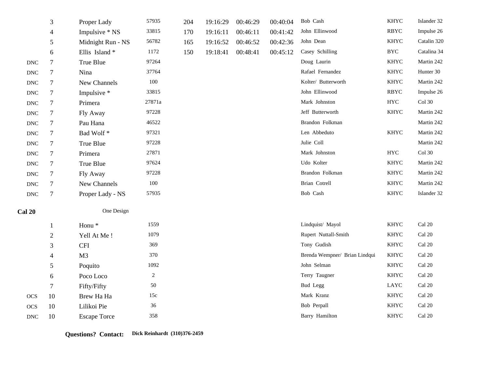|                           | 3              | Proper Lady         | 57935      | 204 | 19:16:29 | 00:46:29 | 00:40:04 | Bob Cash                      | <b>KHYC</b> | Islander 32             |
|---------------------------|----------------|---------------------|------------|-----|----------|----------|----------|-------------------------------|-------------|-------------------------|
|                           | $\overline{4}$ | Impulsive * NS      | 33815      | 170 | 19:16:11 | 00:46:11 | 00:41:42 | John Ellinwood                | <b>RBYC</b> | Impulse 26              |
|                           | 5              | Midnight Run - NS   | 56782      | 165 | 19:16:52 | 00:46:52 | 00:42:36 | John Dean                     | <b>KHYC</b> | Catalin 320             |
|                           | 6              | Ellis Island*       | 1172       | 150 | 19:18:41 | 00:48:41 | 00:45:12 | Casey Schilling               | <b>BYC</b>  | Catalina 34             |
| <b>DNC</b>                | $\tau$         | True Blue           | 97264      |     |          |          |          | Doug Laurin                   | <b>KHYC</b> | Martin 242              |
| $\operatorname{DNC}$      | $\tau$         | Nina                | 37764      |     |          |          |          | Rafael Fernandez              | <b>KHYC</b> | Hunter 30               |
| $\ensuremath{\text{DNC}}$ | $\tau$         | New Channels        | 100        |     |          |          |          | Kolter/ Butterworth           | <b>KHYC</b> | Martin 242              |
| <b>DNC</b>                | $\tau$         | Impulsive *         | 33815      |     |          |          |          | John Ellinwood                | <b>RBYC</b> | Impulse 26              |
| <b>DNC</b>                | $\tau$         | Primera             | 27871a     |     |          |          |          | Mark Johnston                 | <b>HYC</b>  | $Col$ 30                |
| $\operatorname{DNC}$      | $\tau$         | Fly Away            | 97228      |     |          |          |          | Jeff Butterworth              | <b>KHYC</b> | Martin 242              |
| $\operatorname{DNC}$      | $\tau$         | Pau Hana            | 46522      |     |          |          |          | Brandon Folkman               |             | Martin 242              |
| <b>DNC</b>                | $\tau$         | Bad Wolf*           | 97321      |     |          |          |          | Len Abbeduto                  | <b>KHYC</b> | Martin 242              |
| <b>DNC</b>                | $\tau$         | True Blue           | 97228      |     |          |          |          | Julie Coll                    |             | Martin 242              |
| <b>DNC</b>                | $\tau$         | Primera             | 27871      |     |          |          |          | Mark Johnston                 | ${\rm HYC}$ | $Col$ 30                |
| $\operatorname{DNC}$      | $\tau$         | True Blue           | 97624      |     |          |          |          | Udo Kolter                    | <b>KHYC</b> | Martin 242              |
| $\ensuremath{\text{DNC}}$ | $\tau$         | Fly Away            | 97228      |     |          |          |          | Brandon Folkman               | <b>KHYC</b> | Martin 242              |
| $\operatorname{DNC}$      | $\tau$         | New Channels        | $100\,$    |     |          |          |          | Brian Cotrell                 | KHYC        | Martin 242              |
| <b>DNC</b>                | $\tau$         | Proper Lady - NS    | 57935      |     |          |          |          | Bob Cash                      | <b>KHYC</b> | Islander 32             |
| <b>Cal 20</b>             |                | One Design          |            |     |          |          |          |                               |             |                         |
|                           | 1              | Honu <sup>*</sup>   | 1559       |     |          |          |          | Lindquist/ Mayol              | <b>KHYC</b> | Cal 20                  |
|                           | $\sqrt{2}$     | Yell At Me!         | 1079       |     |          |          |          | Rupert Nuttall-Smith          | <b>KHYC</b> | Cal 20                  |
|                           | $\mathfrak{Z}$ | <b>CFI</b>          | 369        |     |          |          |          | Tony Gudish                   | <b>KHYC</b> | Cal 20                  |
|                           | $\overline{4}$ | M <sub>3</sub>      | 370        |     |          |          |          | Brenda Wempner/ Brian Lindqui | <b>KHYC</b> | Cal 20                  |
|                           | 5              | Poquito             | 1092       |     |          |          |          | John Selman                   | KHYC        | Cal 20                  |
|                           | $6\,$          | Poco Loco           | $\sqrt{2}$ |     |          |          |          | Terry Taugner                 | <b>KHYC</b> | $Cal$ 20                |
|                           | 7              | Fifty/Fifty         | 50         |     |          |          |          | Bud Legg                      | LAYC        | Cal 20                  |
| <b>OCS</b>                | 10             | Brew Ha Ha          | 15c        |     |          |          |          | Mark Kranz                    | <b>KHYC</b> | Cal 20                  |
| <b>OCS</b>                | 10             | Lilikoi Pie         | 36         |     |          |          |          | Bob Perpall                   | <b>KHYC</b> | $\operatorname{Cal}$ 20 |
| <b>DNC</b>                | 10             | <b>Escape Torce</b> | 358        |     |          |          |          | Barry Hamilton                | <b>KHYC</b> | Cal 20                  |

**Questions? Contact: Dick Reinhardt (310)376-2459**